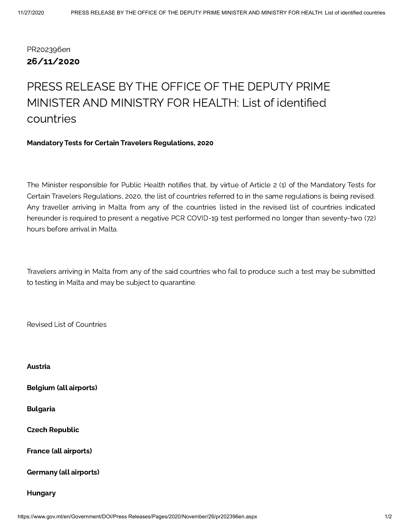# PR202396en 26/11/2020

# PRESS RELEASE BY THE OFFICE OF THE DEPUTY PRIME MINISTER AND MINISTRY FOR HEALTH: List of identified countries

#### Mandatory Tests for Certain Travelers Regulations, 2020

The Minister responsible for Public Health notifies that, by virtue of Article 2 (1) of the Mandatory Tests for Certain Travelers Regulations, 2020, the list of countries referred to in the same regulations is being revised. Any traveller arriving in Malta from any of the countries listed in the revised list of countries indicated hereunder is required to present a negative PCR COVID-19 test performed no longer than seventy-two (72) hours before arrival in Malta.

Travelers arriving in Malta from any of the said countries who fail to produce such a test may be submitted to testing in Malta and may be subject to quarantine.

Revised List of Countries

Austria Belgium (all airports) Bulgaria Czech Republic France (all airports) Germany (all airports) Hungary